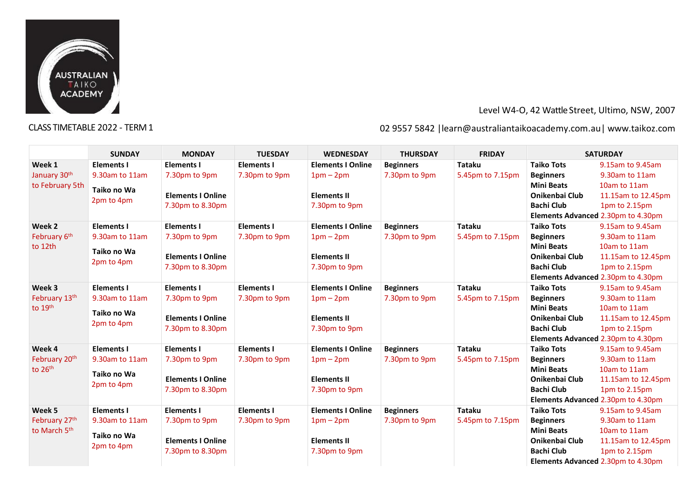

# Level W4-O, 42 Wattle Street, Ultimo, NSW, 2007

# CLASS TIMETABLE 2022 - TERM 1 02 9557 5842 |learn@australiantaikoacademy.com.au| [www.taikoz.com](http://www.taikoz.com/)

|                     | <b>SUNDAY</b>     | <b>MONDAY</b>            | <b>TUESDAY</b>    | <b>WEDNESDAY</b>         | <b>THURSDAY</b>  | <b>FRIDAY</b>    |                   | <b>SATURDAY</b>                    |
|---------------------|-------------------|--------------------------|-------------------|--------------------------|------------------|------------------|-------------------|------------------------------------|
| Week 1              | <b>Elements I</b> | <b>Elements I</b>        | <b>Elements I</b> | <b>Elements I Online</b> | <b>Beginners</b> | <b>Tataku</b>    | <b>Taiko Tots</b> | 9.15am to 9.45am                   |
| January 30th        | 9.30am to 11am    | 7.30pm to 9pm            | 7.30pm to 9pm     | $1pm-2pm$                | 7.30pm to 9pm    | 5.45pm to 7.15pm | <b>Beginners</b>  | 9.30am to 11am                     |
| to February 5th     | Taiko no Wa       |                          |                   |                          |                  |                  | <b>Mini Beats</b> | 10am to 11am                       |
|                     |                   | <b>Elements I Online</b> |                   | <b>Elements II</b>       |                  |                  | Onikenbai Club    | 11.15am to 12.45pm                 |
|                     | 2pm to 4pm        | 7.30pm to 8.30pm         |                   | 7.30pm to 9pm            |                  |                  | <b>Bachi Club</b> | 1pm to 2.15pm                      |
|                     |                   |                          |                   |                          |                  |                  |                   | Elements Advanced 2.30pm to 4.30pm |
| Week 2              | <b>Elements I</b> | <b>Elements I</b>        | <b>Elements I</b> | <b>Elements I Online</b> | <b>Beginners</b> | <b>Tataku</b>    | <b>Taiko Tots</b> | 9.15am to 9.45am                   |
| February 6th        | 9.30am to 11am    | 7.30pm to 9pm            | 7.30pm to 9pm     | $1pm - 2pm$              | 7.30pm to 9pm    | 5.45pm to 7.15pm | <b>Beginners</b>  | 9.30am to 11am                     |
| to 12th             | Taiko no Wa       |                          |                   |                          |                  |                  | <b>Mini Beats</b> | 10am to 11am                       |
|                     | 2pm to 4pm        | <b>Elements I Online</b> |                   | <b>Elements II</b>       |                  |                  | Onikenbai Club    | 11.15am to 12.45pm                 |
|                     |                   | 7.30pm to 8.30pm         |                   | 7.30pm to 9pm            |                  |                  | <b>Bachi Club</b> | 1pm to 2.15pm                      |
|                     |                   |                          |                   |                          |                  |                  |                   | Elements Advanced 2.30pm to 4.30pm |
| Week 3              | <b>Elements I</b> | <b>Elements I</b>        | <b>Elements I</b> | <b>Elements I Online</b> | <b>Beginners</b> | <b>Tataku</b>    | <b>Taiko Tots</b> | 9.15am to 9.45am                   |
| February 13th       | 9.30am to 11am    | 7.30pm to 9pm            | 7.30pm to 9pm     | $1pm-2pm$                | 7.30pm to 9pm    | 5.45pm to 7.15pm | <b>Beginners</b>  | 9.30am to 11am                     |
| to 19th             | Taiko no Wa       |                          |                   |                          |                  |                  | <b>Mini Beats</b> | 10am to 11am                       |
|                     | 2pm to 4pm        | <b>Elements I Online</b> |                   | <b>Elements II</b>       |                  |                  | Onikenbai Club    | 11.15am to 12.45pm                 |
|                     |                   | 7.30pm to 8.30pm         |                   | 7.30pm to 9pm            |                  |                  | <b>Bachi Club</b> | 1pm to 2.15pm                      |
|                     |                   |                          |                   |                          |                  |                  |                   | Elements Advanced 2.30pm to 4.30pm |
| Week 4              | <b>Elements I</b> | <b>Elements I</b>        | <b>Elements I</b> | <b>Elements I Online</b> | <b>Beginners</b> | <b>Tataku</b>    | <b>Taiko Tots</b> | 9.15am to 9.45am                   |
| February 20th       | 9.30am to 11am    | 7.30pm to 9pm            | 7.30pm to 9pm     | $1pm-2pm$                | 7.30pm to 9pm    | 5.45pm to 7.15pm | <b>Beginners</b>  | 9.30am to 11am                     |
| to 26 <sup>th</sup> | Taiko no Wa       |                          |                   |                          |                  |                  | <b>Mini Beats</b> | 10am to 11am                       |
|                     | 2pm to 4pm        | <b>Elements I Online</b> |                   | <b>Elements II</b>       |                  |                  | Onikenbai Club    | 11.15am to 12.45pm                 |
|                     |                   | 7.30pm to 8.30pm         |                   | 7.30pm to 9pm            |                  |                  | <b>Bachi Club</b> | 1pm to 2.15pm                      |
|                     |                   |                          |                   |                          |                  |                  |                   | Elements Advanced 2.30pm to 4.30pm |
| Week 5              | <b>Elements I</b> | <b>Elements I</b>        | <b>Elements I</b> | <b>Elements I Online</b> | <b>Beginners</b> | Tataku           | <b>Taiko Tots</b> | 9.15am to 9.45am                   |
| February 27th       | 9.30am to 11am    | 7.30pm to 9pm            | 7.30pm to 9pm     | $1pm-2pm$                | 7.30pm to 9pm    | 5.45pm to 7.15pm | <b>Beginners</b>  | 9.30am to 11am                     |
| to March 5th        | Taiko no Wa       |                          |                   |                          |                  |                  | <b>Mini Beats</b> | 10am to 11am                       |
|                     | 2pm to 4pm        | <b>Elements I Online</b> |                   | <b>Elements II</b>       |                  |                  | Onikenbai Club    | 11.15am to 12.45pm                 |
|                     |                   | 7.30pm to 8.30pm         |                   | 7.30pm to 9pm            |                  |                  | <b>Bachi Club</b> | 1pm to 2.15pm                      |
|                     |                   |                          |                   |                          |                  |                  |                   | Elements Advanced 2.30pm to 4.30pm |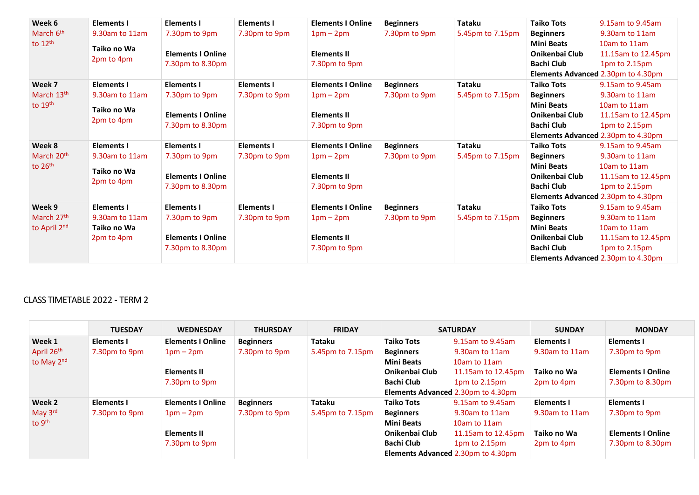| Week 6                 | <b>Elements I</b> | <b>Elements I</b>        | <b>Elements I</b> | <b>Elements I Online</b> | <b>Beginners</b> | <b>Tataku</b>    | <b>Taiko Tots</b>     | 9.15am to 9.45am                   |
|------------------------|-------------------|--------------------------|-------------------|--------------------------|------------------|------------------|-----------------------|------------------------------------|
| March 6 <sup>th</sup>  | 9.30am to 11am    | 7.30pm to 9pm            | 7.30pm to 9pm     | $1pm-2pm$                | 7.30pm to 9pm    | 5.45pm to 7.15pm | <b>Beginners</b>      | 9.30am to 11am                     |
| to $12th$              | Taiko no Wa       |                          |                   |                          |                  |                  | <b>Mini Beats</b>     | 10am to 11am                       |
|                        |                   | <b>Elements I Online</b> |                   | <b>Elements II</b>       |                  |                  | Onikenbai Club        | 11.15am to 12.45pm                 |
|                        | 2pm to 4pm        | 7.30pm to 8.30pm         |                   | 7.30pm to 9pm            |                  |                  | <b>Bachi Club</b>     | 1pm to 2.15pm                      |
|                        |                   |                          |                   |                          |                  |                  |                       | Elements Advanced 2.30pm to 4.30pm |
| Week 7                 | <b>Elements I</b> | <b>Elements I</b>        | <b>Elements I</b> | <b>Elements I Online</b> | <b>Beginners</b> | Tataku           | <b>Taiko Tots</b>     | 9.15am to 9.45am                   |
| March 13th             | 9.30am to 11am    | 7.30pm to 9pm            | 7.30pm to 9pm     | $1pm-2pm$                | 7.30pm to 9pm    | 5.45pm to 7.15pm | <b>Beginners</b>      | 9.30am to 11am                     |
| to 19th                | Taiko no Wa       |                          |                   |                          |                  |                  | <b>Mini Beats</b>     | 10am to 11am                       |
|                        |                   | <b>Elements I Online</b> |                   | <b>Elements II</b>       |                  |                  | Onikenbai Club        | 11.15am to 12.45pm                 |
|                        | 2pm to 4pm        | 7.30pm to 8.30pm         |                   | 7.30pm to 9pm            |                  |                  | <b>Bachi Club</b>     | 1pm to 2.15pm                      |
|                        |                   |                          |                   |                          |                  |                  |                       | Elements Advanced 2.30pm to 4.30pm |
| Week 8                 | <b>Elements I</b> | <b>Elements I</b>        | <b>Elements I</b> | <b>Elements I Online</b> | <b>Beginners</b> | <b>Tataku</b>    | <b>Taiko Tots</b>     | 9.15am to 9.45am                   |
| March 20 <sup>th</sup> | 9.30am to 11am    | 7.30pm to 9pm            | 7.30pm to 9pm     | $1pm-2pm$                | 7.30pm to 9pm    | 5.45pm to 7.15pm | <b>Beginners</b>      | 9.30am to 11am                     |
| to $26th$              | Taiko no Wa       |                          |                   |                          |                  |                  | <b>Mini Beats</b>     | 10am to 11am                       |
|                        |                   | <b>Elements I Online</b> |                   | <b>Elements II</b>       |                  |                  | Onikenbai Club        | 11.15am to 12.45pm                 |
|                        | 2pm to 4pm        | 7.30pm to 8.30pm         |                   | 7.30pm to 9pm            |                  |                  | <b>Bachi Club</b>     | 1pm to 2.15pm                      |
|                        |                   |                          |                   |                          |                  |                  |                       | Elements Advanced 2.30pm to 4.30pm |
| Week 9                 | <b>Elements I</b> | <b>Elements I</b>        | <b>Elements I</b> | <b>Elements I Online</b> | <b>Beginners</b> | <b>Tataku</b>    | <b>Taiko Tots</b>     | 9.15am to 9.45am                   |
| March 27th             | 9.30am to 11am    | 7.30pm to 9pm            | 7.30pm to 9pm     | $1pm-2pm$                | 7.30pm to 9pm    | 5.45pm to 7.15pm | <b>Beginners</b>      | 9.30am to 11am                     |
| to April 2nd           | Taiko no Wa       |                          |                   |                          |                  |                  | <b>Mini Beats</b>     | 10am to 11am                       |
|                        | 2pm to 4pm        | <b>Elements I Online</b> |                   | <b>Elements II</b>       |                  |                  | <b>Onikenbai Club</b> | 11.15am to 12.45pm                 |
|                        |                   | 7.30pm to 8.30pm         |                   | 7.30pm to 9pm            |                  |                  | <b>Bachi Club</b>     | 1pm to 2.15pm                      |
|                        |                   |                          |                   |                          |                  |                  |                       | Elements Advanced 2.30pm to 4.30pm |

## CLASS TIMETABLE 2022 - TERM 2

|                     | <b>TUESDAY</b>    | <b>WEDNESDAY</b>         | <b>THURSDAY</b>  | <b>FRIDAY</b>    |                   | <b>SATURDAY</b>                           | <b>SUNDAY</b>     | <b>MONDAY</b>            |
|---------------------|-------------------|--------------------------|------------------|------------------|-------------------|-------------------------------------------|-------------------|--------------------------|
| Week 1              | <b>Elements I</b> | <b>Elements I Online</b> | <b>Beginners</b> | Tataku           | <b>Taiko Tots</b> | 9.15am to 9.45am                          | Elements I        | Elements I               |
| April 26th          | 7.30pm to 9pm     | $1pm-2pm$                | 7.30pm to 9pm    | 5.45pm to 7.15pm | <b>Beginners</b>  | 9.30am to 11am                            | 9.30am to 11am    | 7.30pm to 9pm            |
| to May 2nd          |                   |                          |                  |                  | <b>Mini Beats</b> | 10am to 11am                              |                   |                          |
|                     |                   | <b>Elements II</b>       |                  |                  | Onikenbai Club    | 11.15am to 12.45pm                        | Taiko no Wa       | <b>Elements I Online</b> |
|                     |                   | 7.30pm to 9pm            |                  |                  | <b>Bachi Club</b> | 1pm to 2.15pm                             | 2pm to 4pm        | 7.30pm to 8.30pm         |
|                     |                   |                          |                  |                  |                   | <b>Elements Advanced 2.30pm to 4.30pm</b> |                   |                          |
| Week 2              | <b>Elements I</b> | <b>Elements I Online</b> | <b>Beginners</b> | Tataku           | <b>Taiko Tots</b> | 9.15am to 9.45am                          | <b>Elements I</b> | <b>Elements I</b>        |
| May $3^{\text{rd}}$ | 7.30pm to 9pm     | $1pm-2pm$                | 7.30pm to 9pm    | 5.45pm to 7.15pm | <b>Beginners</b>  | 9.30am to 11am                            | 9.30am to 11am    | 7.30pm to 9pm            |
| to $9th$            |                   |                          |                  |                  | <b>Mini Beats</b> | 10am to 11am                              |                   |                          |
|                     |                   | <b>Elements II</b>       |                  |                  | Onikenbai Club    | 11.15am to 12.45pm                        | Taiko no Wa       | <b>Elements I Online</b> |
|                     |                   | 7.30pm to 9pm            |                  |                  | Bachi Club        | $1pm$ to $2.15pm$                         | 2pm to 4pm        | 7.30pm to 8.30pm         |
|                     |                   |                          |                  |                  |                   | <b>Elements Advanced 2.30pm to 4.30pm</b> |                   |                          |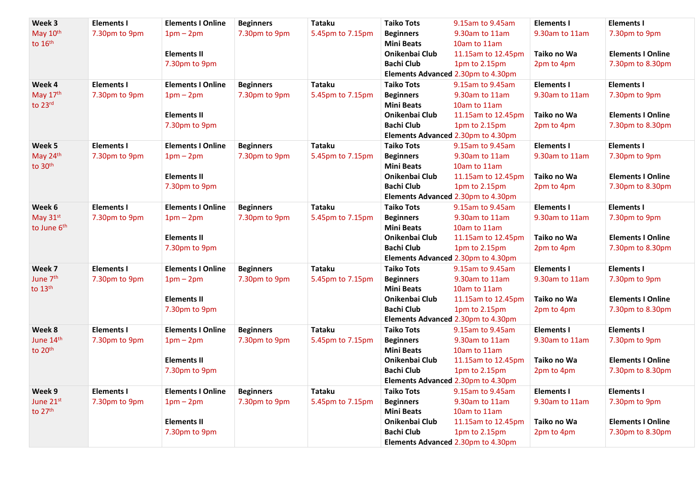| Week 3               | <b>Elements I</b> | <b>Elements I Online</b> | <b>Beginners</b> | <b>Tataku</b>    | <b>Taiko Tots</b> | 9.15am to 9.45am                   | <b>Elements I</b> | <b>Elements I</b>        |
|----------------------|-------------------|--------------------------|------------------|------------------|-------------------|------------------------------------|-------------------|--------------------------|
| May 10th             | 7.30pm to 9pm     | $1pm-2pm$                | 7.30pm to 9pm    | 5.45pm to 7.15pm | <b>Beginners</b>  | 9.30am to 11am                     | 9.30am to 11am    | 7.30pm to 9pm            |
| to 16th              |                   |                          |                  |                  | <b>Mini Beats</b> | 10am to 11am                       |                   |                          |
|                      |                   | <b>Elements II</b>       |                  |                  | Onikenbai Club    | 11.15am to 12.45pm                 | Taiko no Wa       | <b>Elements I Online</b> |
|                      |                   | 7.30pm to 9pm            |                  |                  | <b>Bachi Club</b> | 1pm to 2.15pm                      | 2pm to 4pm        | 7.30pm to 8.30pm         |
|                      |                   |                          |                  |                  |                   | Elements Advanced 2.30pm to 4.30pm |                   |                          |
| Week 4               | <b>Elements I</b> | <b>Elements I Online</b> | <b>Beginners</b> | <b>Tataku</b>    | <b>Taiko Tots</b> | 9.15am to 9.45am                   | <b>Elements I</b> | <b>Elements I</b>        |
| May 17th             | 7.30pm to 9pm     | $1pm-2pm$                | 7.30pm to 9pm    | 5.45pm to 7.15pm | <b>Beginners</b>  | 9.30am to 11am                     | 9.30am to 11am    | 7.30pm to 9pm            |
| to 23rd              |                   |                          |                  |                  | <b>Mini Beats</b> | 10am to 11am                       |                   |                          |
|                      |                   | <b>Elements II</b>       |                  |                  | Onikenbai Club    | 11.15am to 12.45pm                 | Taiko no Wa       | <b>Elements I Online</b> |
|                      |                   | 7.30pm to 9pm            |                  |                  | <b>Bachi Club</b> | 1pm to 2.15pm                      | 2pm to 4pm        | 7.30pm to 8.30pm         |
|                      |                   |                          |                  |                  |                   | Elements Advanced 2.30pm to 4.30pm |                   |                          |
| Week 5               | <b>Elements I</b> | <b>Elements I Online</b> | <b>Beginners</b> | <b>Tataku</b>    | <b>Taiko Tots</b> | 9.15am to 9.45am                   | <b>Elements I</b> | <b>Elements I</b>        |
| May 24th             | 7.30pm to 9pm     | $1pm-2pm$                | 7.30pm to 9pm    | 5.45pm to 7.15pm | <b>Beginners</b>  | 9.30am to 11am                     | 9.30am to 11am    | 7.30pm to 9pm            |
| to 30th              |                   |                          |                  |                  | <b>Mini Beats</b> | 10am to 11am                       |                   |                          |
|                      |                   | <b>Elements II</b>       |                  |                  | Onikenbai Club    | 11.15am to 12.45pm                 | Taiko no Wa       | <b>Elements I Online</b> |
|                      |                   | 7.30pm to 9pm            |                  |                  | <b>Bachi Club</b> | 1pm to 2.15pm                      | 2pm to 4pm        | 7.30pm to 8.30pm         |
|                      |                   |                          |                  |                  |                   | Elements Advanced 2.30pm to 4.30pm |                   |                          |
| Week 6               | <b>Elements I</b> | <b>Elements I Online</b> | <b>Beginners</b> | <b>Tataku</b>    | <b>Taiko Tots</b> | 9.15am to 9.45am                   | <b>Elements I</b> | <b>Elements I</b>        |
| May 31st             | 7.30pm to 9pm     | $1pm-2pm$                | 7.30pm to 9pm    | 5.45pm to 7.15pm | <b>Beginners</b>  | 9.30am to 11am                     | 9.30am to 11am    | 7.30pm to 9pm            |
| to June 6th          |                   |                          |                  |                  | <b>Mini Beats</b> | 10am to 11am                       |                   |                          |
|                      |                   | <b>Elements II</b>       |                  |                  | Onikenbai Club    | 11.15am to 12.45pm                 | Taiko no Wa       | <b>Elements I Online</b> |
|                      |                   | 7.30pm to 9pm            |                  |                  | <b>Bachi Club</b> | 1pm to 2.15pm                      | 2pm to 4pm        | 7.30pm to 8.30pm         |
|                      |                   |                          |                  |                  |                   | Elements Advanced 2.30pm to 4.30pm |                   |                          |
| Week 7               | <b>Elements I</b> | <b>Elements I Online</b> | <b>Beginners</b> | <b>Tataku</b>    | <b>Taiko Tots</b> | 9.15am to 9.45am                   | <b>Elements I</b> | <b>Elements I</b>        |
| June 7 <sup>th</sup> | 7.30pm to 9pm     | $1pm - 2pm$              | 7.30pm to 9pm    | 5.45pm to 7.15pm | <b>Beginners</b>  | 9.30am to 11am                     | 9.30am to 11am    | 7.30pm to 9pm            |
| to $13th$            |                   |                          |                  |                  | <b>Mini Beats</b> | 10am to 11am                       |                   |                          |
|                      |                   | <b>Elements II</b>       |                  |                  | Onikenbai Club    | 11.15am to 12.45pm                 | Taiko no Wa       | <b>Elements I Online</b> |
|                      |                   | 7.30pm to 9pm            |                  |                  | <b>Bachi Club</b> | 1pm to 2.15pm                      | 2pm to 4pm        | 7.30pm to 8.30pm         |
|                      |                   |                          |                  |                  |                   | Elements Advanced 2.30pm to 4.30pm |                   |                          |
| Week 8               | <b>Elements I</b> | <b>Elements I Online</b> | <b>Beginners</b> | <b>Tataku</b>    | <b>Taiko Tots</b> | 9.15am to 9.45am                   | <b>Elements I</b> | <b>Elements I</b>        |
| June 14th            | 7.30pm to 9pm     | $1pm-2pm$                | 7.30pm to 9pm    | 5.45pm to 7.15pm | <b>Beginners</b>  | 9.30am to 11am                     | 9.30am to 11am    | 7.30pm to 9pm            |
| to 20th              |                   |                          |                  |                  | <b>Mini Beats</b> | 10am to 11am                       |                   |                          |
|                      |                   | <b>Elements II</b>       |                  |                  | Onikenbai Club    | 11.15am to 12.45pm                 | Taiko no Wa       | <b>Elements I Online</b> |
|                      |                   | 7.30pm to 9pm            |                  |                  | <b>Bachi Club</b> | 1pm to 2.15pm                      | 2pm to 4pm        | 7.30pm to 8.30pm         |
|                      |                   |                          |                  |                  |                   | Elements Advanced 2.30pm to 4.30pm |                   |                          |
| Week 9               | <b>Elements I</b> | <b>Elements I Online</b> | <b>Beginners</b> | <b>Tataku</b>    | <b>Taiko Tots</b> | 9.15am to 9.45am                   | <b>Elements I</b> | <b>Elements I</b>        |
| June 21st            | 7.30pm to 9pm     | $1pm-2pm$                | 7.30pm to 9pm    | 5.45pm to 7.15pm | <b>Beginners</b>  | 9.30am to 11am                     | 9.30am to 11am    | 7.30pm to 9pm            |
| to 27th              |                   |                          |                  |                  | <b>Mini Beats</b> | 10am to 11am                       |                   |                          |
|                      |                   | <b>Elements II</b>       |                  |                  | Onikenbai Club    | 11.15am to 12.45pm                 | Taiko no Wa       | <b>Elements I Online</b> |
|                      |                   | 7.30pm to 9pm            |                  |                  | <b>Bachi Club</b> | 1pm to 2.15pm                      | 2pm to 4pm        | 7.30pm to 8.30pm         |
|                      |                   |                          |                  |                  |                   | Elements Advanced 2.30pm to 4.30pm |                   |                          |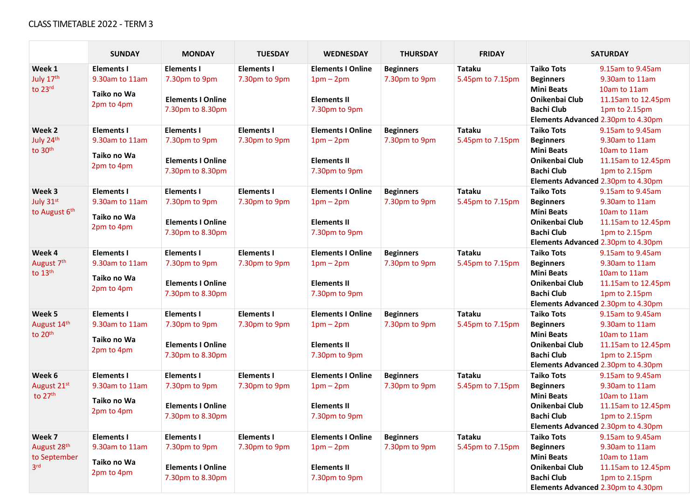#### CLASS TIMETABLE 2022 - TERM 3

|                                 | <b>SUNDAY</b>     | <b>MONDAY</b>            | <b>TUESDAY</b>    | <b>WEDNESDAY</b>         | <b>THURSDAY</b>  | <b>FRIDAY</b>    |                       | <b>SATURDAY</b>                    |
|---------------------------------|-------------------|--------------------------|-------------------|--------------------------|------------------|------------------|-----------------------|------------------------------------|
| Week 1                          | <b>Elements I</b> | <b>Elements I</b>        | <b>Elements I</b> | <b>Elements I Online</b> | <b>Beginners</b> | <b>Tataku</b>    | <b>Taiko Tots</b>     | 9.15am to 9.45am                   |
| July 17th                       | 9.30am to 11am    | 7.30pm to 9pm            | 7.30pm to 9pm     | $1pm-2pm$                | 7.30pm to 9pm    | 5.45pm to 7.15pm | <b>Beginners</b>      | 9.30am to 11am                     |
| to 23rd                         |                   |                          |                   |                          |                  |                  | <b>Mini Beats</b>     | 10am to 11am                       |
|                                 | Taiko no Wa       | <b>Elements I Online</b> |                   | <b>Elements II</b>       |                  |                  | Onikenbai Club        | 11.15am to 12.45pm                 |
|                                 | 2pm to 4pm        | 7.30pm to 8.30pm         |                   | 7.30pm to 9pm            |                  |                  | <b>Bachi Club</b>     | 1pm to 2.15pm                      |
|                                 |                   |                          |                   |                          |                  |                  |                       | Elements Advanced 2.30pm to 4.30pm |
| Week 2                          | <b>Elements I</b> | <b>Elements I</b>        | <b>Elements I</b> | <b>Elements I Online</b> | <b>Beginners</b> | <b>Tataku</b>    | <b>Taiko Tots</b>     | 9.15am to 9.45am                   |
| July 24th                       | 9.30am to 11am    | 7.30pm to 9pm            | 7.30pm to 9pm     | $1pm-2pm$                | 7.30pm to 9pm    | 5.45pm to 7.15pm | <b>Beginners</b>      | 9.30am to 11am                     |
| to 30th                         | Taiko no Wa       |                          |                   |                          |                  |                  | <b>Mini Beats</b>     | 10am to 11am                       |
|                                 | 2pm to 4pm        | <b>Elements I Online</b> |                   | <b>Elements II</b>       |                  |                  | Onikenbai Club        | 11.15am to 12.45pm                 |
|                                 |                   | 7.30pm to 8.30pm         |                   | 7.30pm to 9pm            |                  |                  | <b>Bachi Club</b>     | 1pm to 2.15pm                      |
|                                 |                   |                          |                   |                          |                  |                  |                       | Elements Advanced 2.30pm to 4.30pm |
| Week 3                          | <b>Elements I</b> | <b>Elements I</b>        | <b>Elements I</b> | <b>Elements I Online</b> | <b>Beginners</b> | <b>Tataku</b>    | <b>Taiko Tots</b>     | 9.15am to 9.45am                   |
| July 31st                       | 9.30am to 11am    | 7.30pm to 9pm            | 7.30pm to 9pm     | $1pm-2pm$                | 7.30pm to 9pm    | 5.45pm to 7.15pm | <b>Beginners</b>      | 9.30am to 11am                     |
| to August 6th                   | Taiko no Wa       |                          |                   |                          |                  |                  | <b>Mini Beats</b>     | 10am to 11am                       |
|                                 | 2pm to 4pm        | <b>Elements I Online</b> |                   | <b>Elements II</b>       |                  |                  | Onikenbai Club        | 11.15am to 12.45pm                 |
|                                 |                   | 7.30pm to 8.30pm         |                   | 7.30pm to 9pm            |                  |                  | <b>Bachi Club</b>     | 1pm to 2.15pm                      |
|                                 |                   |                          |                   |                          |                  |                  |                       | Elements Advanced 2.30pm to 4.30pm |
| Week 4                          | <b>Elements I</b> | <b>Elements I</b>        | <b>Elements I</b> | <b>Elements I Online</b> | <b>Beginners</b> | <b>Tataku</b>    | <b>Taiko Tots</b>     | 9.15am to 9.45am                   |
| August 7th                      | 9.30am to 11am    | 7.30pm to 9pm            | 7.30pm to 9pm     | $1pm-2pm$                | 7.30pm to 9pm    | 5.45pm to 7.15pm | <b>Beginners</b>      | 9.30am to 11am                     |
| to 13th                         | Taiko no Wa       |                          |                   |                          |                  |                  | <b>Mini Beats</b>     | 10am to 11am                       |
|                                 | 2pm to 4pm        | <b>Elements I Online</b> |                   | <b>Elements II</b>       |                  |                  | Onikenbai Club        | 11.15am to 12.45pm                 |
|                                 |                   | 7.30pm to 8.30pm         |                   | 7.30pm to 9pm            |                  |                  | <b>Bachi Club</b>     | 1pm to 2.15pm                      |
|                                 |                   |                          |                   |                          |                  |                  |                       | Elements Advanced 2.30pm to 4.30pm |
| Week 5                          | <b>Elements I</b> | <b>Elements I</b>        | <b>Elements I</b> | <b>Elements I Online</b> | <b>Beginners</b> | <b>Tataku</b>    | <b>Taiko Tots</b>     | 9.15am to 9.45am                   |
| August 14th                     | 9.30am to 11am    | 7.30pm to 9pm            | 7.30pm to 9pm     | $1pm-2pm$                | 7.30pm to 9pm    | 5.45pm to 7.15pm | <b>Beginners</b>      | 9.30am to 11am                     |
| to 20th                         | Taiko no Wa       |                          |                   |                          |                  |                  | <b>Mini Beats</b>     | 10am to 11am                       |
|                                 | 2pm to 4pm        | <b>Elements I Online</b> |                   | <b>Elements II</b>       |                  |                  | Onikenbai Club        | 11.15am to 12.45pm                 |
|                                 |                   | 7.30pm to 8.30pm         |                   | 7.30pm to 9pm            |                  |                  | <b>Bachi Club</b>     | 1pm to 2.15pm                      |
|                                 |                   |                          |                   |                          |                  |                  |                       | Elements Advanced 2.30pm to 4.30pm |
| Week 6                          | <b>Elements I</b> | <b>Elements I</b>        | <b>Elements I</b> | <b>Elements I Online</b> | <b>Beginners</b> | <b>Tataku</b>    | <b>Taiko Tots</b>     | 9.15am to 9.45am                   |
| August 21st                     | 9.30am to 11am    | 7.30pm to 9pm            | 7.30pm to 9pm     | $1pm-2pm$                | 7.30pm to 9pm    | 5.45pm to 7.15pm | <b>Beginners</b>      | 9.30am to 11am                     |
| to 27th                         | Taiko no Wa       |                          |                   |                          |                  |                  | <b>Mini Beats</b>     | 10am to 11am                       |
|                                 | 2pm to 4pm        | <b>Elements I Online</b> |                   | <b>Elements II</b>       |                  |                  | Onikenbai Club        | 11.15am to 12.45pm                 |
|                                 |                   | 7.30pm to 8.30pm         |                   | 7.30pm to 9pm            |                  |                  | <b>Bachi Club</b>     | 1pm to 2.15pm                      |
|                                 |                   |                          |                   |                          |                  |                  |                       | Elements Advanced 2.30pm to 4.30pm |
| Week 7                          | <b>Elements I</b> | <b>Elements I</b>        | <b>Elements I</b> | <b>Elements I Online</b> | <b>Beginners</b> | <b>Tataku</b>    | <b>Taiko Tots</b>     | 9.15am to 9.45am                   |
| August 28th                     | 9.30am to 11am    | 7.30pm to 9pm            | 7.30pm to 9pm     | $1pm-2pm$                | 7.30pm to 9pm    | 5.45pm to 7.15pm | <b>Beginners</b>      | 9.30am to 11am                     |
| to September<br>3 <sup>rd</sup> | Taiko no Wa       |                          |                   |                          |                  |                  | <b>Mini Beats</b>     | 10am to 11am                       |
|                                 | 2pm to 4pm        | <b>Elements I Online</b> |                   | <b>Elements II</b>       |                  |                  | <b>Onikenbai Club</b> | 11.15am to 12.45pm                 |
|                                 |                   | 7.30pm to 8.30pm         |                   | 7.30pm to 9pm            |                  |                  | <b>Bachi Club</b>     | 1pm to 2.15pm                      |
|                                 |                   |                          |                   |                          |                  |                  |                       | Elements Advanced 2.30pm to 4.30pm |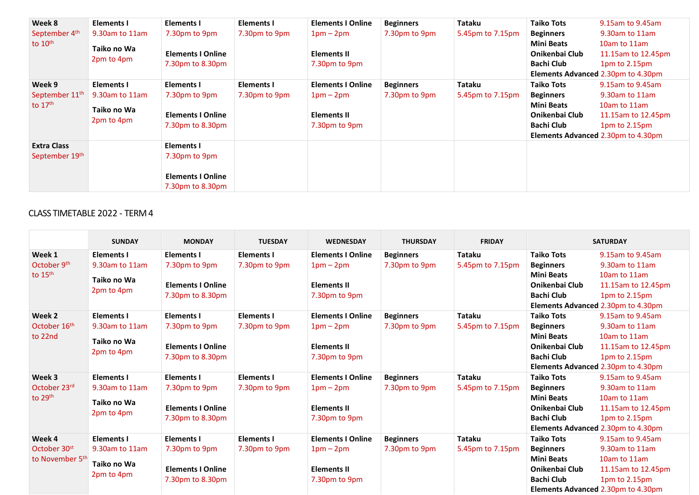| Week 8                     | <b>Elements I</b> | Elements I               | Elements I    | <b>Elements I Online</b> | <b>Beginners</b> | Tataku           | <b>Taiko Tots</b> | 9.15am to 9.45am                          |
|----------------------------|-------------------|--------------------------|---------------|--------------------------|------------------|------------------|-------------------|-------------------------------------------|
| September 4th              | 9.30am to 11am    | 7.30pm to 9pm            | 7.30pm to 9pm | $1pm-2pm$                | 7.30pm to 9pm    | 5.45pm to 7.15pm | <b>Beginners</b>  | 9.30am to 11am                            |
| to $10th$                  |                   |                          |               |                          |                  |                  | <b>Mini Beats</b> | 10am to 11am                              |
|                            | Taiko no Wa       | <b>Elements I Online</b> |               | <b>Elements II</b>       |                  |                  | Onikenbai Club    | 11.15am to 12.45pm                        |
|                            | 2pm to 4pm        | 7.30pm to 8.30pm         |               | 7.30pm to 9pm            |                  |                  | <b>Bachi Club</b> | $1pm$ to $2.15pm$                         |
|                            |                   |                          |               |                          |                  |                  |                   | <b>Elements Advanced 2.30pm to 4.30pm</b> |
| Week 9                     | Elements I        | Elements I               | Elements I    | <b>Elements I Online</b> | <b>Beginners</b> | Tataku           | <b>Taiko Tots</b> | 9.15am to 9.45am                          |
| September 11 <sup>th</sup> | 9.30am to 11am    | 7.30pm to 9pm            | 7.30pm to 9pm | $1pm-2pm$                | 7.30pm to 9pm    | 5.45pm to 7.15pm | <b>Beginners</b>  | 9.30am to 11am                            |
| to $17th$                  | Taiko no Wa       |                          |               |                          |                  |                  | <b>Mini Beats</b> | 10am to 11am                              |
|                            |                   | <b>Elements I Online</b> |               | <b>Elements II</b>       |                  |                  | Onikenbai Club    | 11.15am to 12.45pm                        |
|                            | 2pm to 4pm        | 7.30pm to 8.30pm         |               | 7.30pm to 9pm            |                  |                  | <b>Bachi Club</b> | 1pm to 2.15pm                             |
|                            |                   |                          |               |                          |                  |                  |                   | Elements Advanced 2.30pm to 4.30pm        |
| <b>Extra Class</b>         |                   | Elements I               |               |                          |                  |                  |                   |                                           |
| September 19th             |                   | 7.30pm to 9pm            |               |                          |                  |                  |                   |                                           |
|                            |                   |                          |               |                          |                  |                  |                   |                                           |
|                            |                   | <b>Elements I Online</b> |               |                          |                  |                  |                   |                                           |
|                            |                   | 7.30pm to 8.30pm         |               |                          |                  |                  |                   |                                           |

### CLASS TIMETABLE 2022 - TERM 4

|                                                                   | <b>SUNDAY</b>                                                    | <b>MONDAY</b>                                                                      | <b>TUESDAY</b>                     | <b>WEDNESDAY</b>                                                             | <b>THURSDAY</b>                   | <b>FRIDAY</b>                     |                                                                                                   | <b>SATURDAY</b>                                                                                                                 |
|-------------------------------------------------------------------|------------------------------------------------------------------|------------------------------------------------------------------------------------|------------------------------------|------------------------------------------------------------------------------|-----------------------------------|-----------------------------------|---------------------------------------------------------------------------------------------------|---------------------------------------------------------------------------------------------------------------------------------|
| Week 1<br>October 9th<br>to $15th$                                | <b>Elements I</b><br>9.30am to 11am<br>Taiko no Wa               | <b>Elements I</b><br>7.30pm to 9pm<br><b>Elements I Online</b>                     | <b>Elements I</b><br>7.30pm to 9pm | <b>Elements I Online</b><br>$1pm-2pm$<br><b>Elements II</b>                  | <b>Beginners</b><br>7.30pm to 9pm | <b>Tataku</b><br>5.45pm to 7.15pm | <b>Taiko Tots</b><br><b>Beginners</b><br><b>Mini Beats</b><br>Onikenbai Club                      | 9.15am to 9.45am<br>9.30am to 11am<br>10am to 11am<br>11.15am to 12.45pm                                                        |
|                                                                   | 2pm to 4pm                                                       | 7.30pm to 8.30pm                                                                   |                                    | 7.30pm to 9pm                                                                |                                   |                                   | <b>Bachi Club</b>                                                                                 | 1pm to 2.15pm<br>Elements Advanced 2.30pm to 4.30pm                                                                             |
| Week 2<br>October 16th<br>to 22nd                                 | <b>Elements I</b><br>9.30am to 11am<br>Taiko no Wa<br>2pm to 4pm | <b>Elements I</b><br>7.30pm to 9pm<br><b>Elements I Online</b><br>7.30pm to 8.30pm | <b>Elements I</b><br>7.30pm to 9pm | <b>Elements I Online</b><br>$1pm-2pm$<br><b>Elements II</b><br>7.30pm to 9pm | <b>Beginners</b><br>7.30pm to 9pm | Tataku<br>5.45pm to 7.15pm        | <b>Taiko Tots</b><br><b>Beginners</b><br><b>Mini Beats</b><br>Onikenbai Club<br><b>Bachi Club</b> | 9.15am to 9.45am<br>9.30am to 11am<br>10am to 11am<br>11.15am to 12.45pm<br>1pm to 2.15pm<br>Elements Advanced 2.30pm to 4.30pm |
| Week 3<br>October 23rd<br>to 29th                                 | <b>Elements I</b><br>9.30am to 11am<br>Taiko no Wa<br>2pm to 4pm | <b>Elements I</b><br>7.30pm to 9pm<br><b>Elements I Online</b><br>7.30pm to 8.30pm | <b>Elements I</b><br>7.30pm to 9pm | <b>Elements I Online</b><br>$1pm-2pm$<br><b>Elements II</b><br>7.30pm to 9pm | <b>Beginners</b><br>7.30pm to 9pm | <b>Tataku</b><br>5.45pm to 7.15pm | <b>Taiko Tots</b><br><b>Beginners</b><br><b>Mini Beats</b><br>Onikenbai Club<br><b>Bachi Club</b> | 9.15am to 9.45am<br>9.30am to 11am<br>10am to 11am<br>11.15am to 12.45pm<br>1pm to 2.15pm<br>Elements Advanced 2.30pm to 4.30pm |
| Week 4<br>October 30 <sup>st</sup><br>to November 5 <sup>th</sup> | <b>Elements I</b><br>9.30am to 11am<br>Taiko no Wa<br>2pm to 4pm | <b>Elements I</b><br>7.30pm to 9pm<br><b>Elements I Online</b><br>7.30pm to 8.30pm | <b>Elements I</b><br>7.30pm to 9pm | <b>Elements I Online</b><br>$1pm-2pm$<br><b>Elements II</b><br>7.30pm to 9pm | <b>Beginners</b><br>7.30pm to 9pm | <b>Tataku</b><br>5.45pm to 7.15pm | <b>Taiko Tots</b><br><b>Beginners</b><br><b>Mini Beats</b><br>Onikenbai Club<br><b>Bachi Club</b> | 9.15am to 9.45am<br>9.30am to 11am<br>10am to 11am<br>11.15am to 12.45pm<br>1pm to 2.15pm<br>Elements Advanced 2.30pm to 4.30pm |